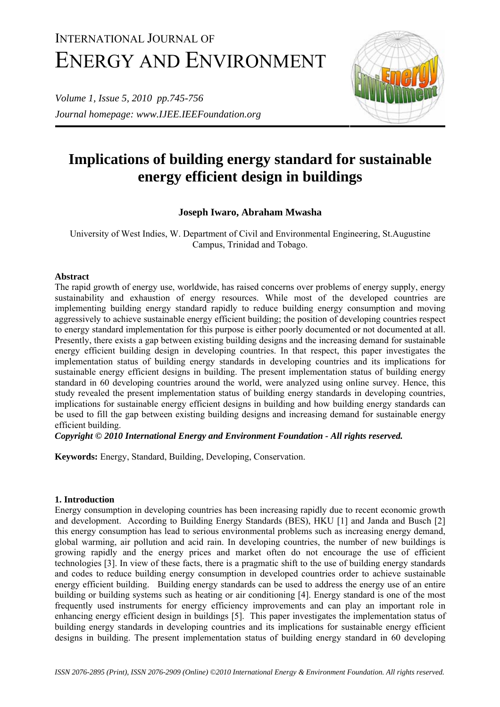# INTERNATIONAL JOURNAL OF ENERGY AND ENVIRONMENT

*Volume 1, Issue 5, 2010 pp.745-756 Journal homepage: www.IJEE.IEEFoundation.org* 



# **Implications of building energy standard for sustainable energy efficient design in buildings**

# **Joseph Iwaro, Abraham Mwasha**

University of West Indies, W. Department of Civil and Environmental Engineering, St.Augustine Campus, Trinidad and Tobago.

#### **Abstract**

The rapid growth of energy use, worldwide, has raised concerns over problems of energy supply, energy sustainability and exhaustion of energy resources. While most of the developed countries are implementing building energy standard rapidly to reduce building energy consumption and moving aggressively to achieve sustainable energy efficient building; the position of developing countries respect to energy standard implementation for this purpose is either poorly documented or not documented at all. Presently, there exists a gap between existing building designs and the increasing demand for sustainable energy efficient building design in developing countries. In that respect, this paper investigates the implementation status of building energy standards in developing countries and its implications for sustainable energy efficient designs in building. The present implementation status of building energy standard in 60 developing countries around the world, were analyzed using online survey. Hence, this study revealed the present implementation status of building energy standards in developing countries, implications for sustainable energy efficient designs in building and how building energy standards can be used to fill the gap between existing building designs and increasing demand for sustainable energy efficient building.

*Copyright © 2010 International Energy and Environment Foundation - All rights reserved.*

**Keywords:** Energy, Standard, Building, Developing, Conservation.

#### **1. Introduction**

Energy consumption in developing countries has been increasing rapidly due to recent economic growth and development. According to Building Energy Standards (BES), HKU [1] and Janda and Busch [2] this energy consumption has lead to serious environmental problems such as increasing energy demand, global warming, air pollution and acid rain. In developing countries, the number of new buildings is growing rapidly and the energy prices and market often do not encourage the use of efficient technologies [3]. In view of these facts, there is a pragmatic shift to the use of building energy standards and codes to reduce building energy consumption in developed countries order to achieve sustainable energy efficient building. Building energy standards can be used to address the energy use of an entire building or building systems such as heating or air conditioning [4]. Energy standard is one of the most frequently used instruments for energy efficiency improvements and can play an important role in enhancing energy efficient design in buildings [5]. This paper investigates the implementation status of building energy standards in developing countries and its implications for sustainable energy efficient designs in building. The present implementation status of building energy standard in 60 developing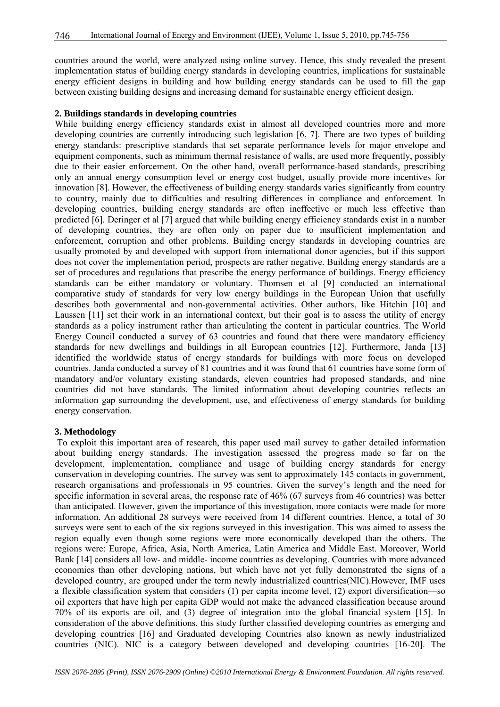countries around the world, were analyzed using online survey. Hence, this study revealed the present implementation status of building energy standards in developing countries, implications for sustainable energy efficient designs in building and how building energy standards can be used to fill the gap between existing building designs and increasing demand for sustainable energy efficient design.

#### **2. Buildings standards in developing countries**

While building energy efficiency standards exist in almost all developed countries more and more developing countries are currently introducing such legislation [6, 7]. There are two types of building energy standards: prescriptive standards that set separate performance levels for major envelope and equipment components, such as minimum thermal resistance of walls, are used more frequently, possibly due to their easier enforcement. On the other hand, overall performance-based standards, prescribing only an annual energy consumption level or energy cost budget, usually provide more incentives for innovation [8]. However, the effectiveness of building energy standards varies significantly from country to country, mainly due to difficulties and resulting differences in compliance and enforcement. In developing countries, building energy standards are often ineffective or much less effective than predicted [6]. Deringer et al [7] argued that while building energy efficiency standards exist in a number of developing countries, they are often only on paper due to insufficient implementation and enforcement, corruption and other problems. Building energy standards in developing countries are usually promoted by and developed with support from international donor agencies, but if this support does not cover the implementation period, prospects are rather negative. Building energy standards are a set of procedures and regulations that prescribe the energy performance of buildings. Energy efficiency standards can be either mandatory or voluntary. Thomsen et al [9] conducted an international comparative study of standards for very low energy buildings in the European Union that usefully describes both governmental and non-governmental activities. Other authors, like Hitchin [10] and Laussen [11] set their work in an international context, but their goal is to assess the utility of energy standards as a policy instrument rather than articulating the content in particular countries. The World Energy Council conducted a survey of 63 countries and found that there were mandatory efficiency standards for new dwellings and buildings in all European countries [12]. Furthermore, Janda [13] identified the worldwide status of energy standards for buildings with more focus on developed countries. Janda conducted a survey of 81 countries and it was found that 61 countries have some form of mandatory and/or voluntary existing standards, eleven countries had proposed standards, and nine countries did not have standards. The limited information about developing countries reflects an information gap surrounding the development, use, and effectiveness of energy standards for building energy conservation.

#### **3. Methodology**

 To exploit this important area of research, this paper used mail survey to gather detailed information about building energy standards. The investigation assessed the progress made so far on the development, implementation, compliance and usage of building energy standards for energy conservation in developing countries. The survey was sent to approximately 145 contacts in government, research organisations and professionals in 95 countries. Given the survey's length and the need for specific information in several areas, the response rate of 46% (67 surveys from 46 countries) was better than anticipated. However, given the importance of this investigation, more contacts were made for more information. An additional 28 surveys were received from 14 different countries. Hence, a total of 30 surveys were sent to each of the six regions surveyed in this investigation. This was aimed to assess the region equally even though some regions were more economically developed than the others. The regions were: Europe, Africa, Asia, North America, Latin America and Middle East. Moreover, World Bank [14] considers all low- and middle- income countries as developing. Countries with more advanced economies than other developing nations, but which have not yet fully demonstrated the signs of a developed country, are grouped under the term newly industrialized countries(NIC).However, IMF uses a flexible classification system that considers (1) per capita income level, (2) export diversification—so oil exporters that have high per capita GDP would not make the advanced classification because around 70% of its exports are oil, and (3) degree of integration into the global financial system [15]. In consideration of the above definitions, this study further classified developing countries as emerging and developing countries [16] and Graduated developing Countries also known as newly industrialized countries (NIC). NIC is a category between developed and developing countries [16-20]. The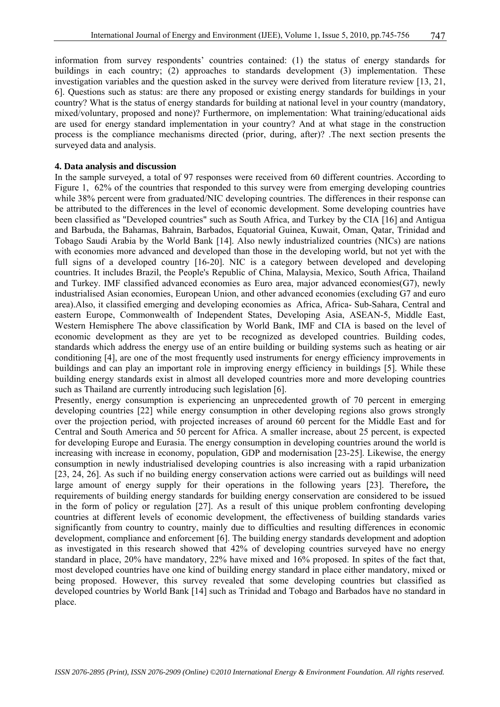information from survey respondents' countries contained: (1) the status of energy standards for buildings in each country; (2) approaches to standards development (3) implementation. These investigation variables and the question asked in the survey were derived from literature review [13, 21, 6]. Questions such as status: are there any proposed or existing energy standards for buildings in your country? What is the status of energy standards for building at national level in your country (mandatory, mixed/voluntary, proposed and none)? Furthermore, on implementation: What training/educational aids are used for energy standard implementation in your country? And at what stage in the construction process is the compliance mechanisms directed (prior, during, after)? .The next section presents the surveyed data and analysis.

#### **4. Data analysis and discussion**

In the sample surveyed, a total of 97 responses were received from 60 different countries. According to Figure 1, 62% of the countries that responded to this survey were from emerging developing countries while 38% percent were from graduated/NIC developing countries. The differences in their response can be attributed to the differences in the level of economic development. Some developing countries have been classified as "Developed countries" such as South Africa, and Turkey by the CIA [16] and Antigua and Barbuda, the Bahamas, Bahrain, Barbados, Equatorial Guinea, Kuwait, Oman, Qatar, Trinidad and Tobago Saudi Arabia by the World Bank [14]. Also newly industrialized countries (NICs) are nations with economies more advanced and developed than those in the developing world, but not yet with the full signs of a developed country [16-20]. NIC is a category between developed and developing countries. It includes Brazil, the People's Republic of China, Malaysia, Mexico, South Africa, Thailand and Turkey. IMF classified advanced economies as Euro area, major advanced economies(G7), newly industrialised Asian economies, European Union, and other advanced economies (excluding G7 and euro area).Also, it classified emerging and developing economies as Africa, Africa- Sub-Sahara, Central and eastern Europe, Commonwealth of Independent States, Developing Asia, ASEAN-5, Middle East, Western Hemisphere The above classification by World Bank, IMF and CIA is based on the level of economic development as they are yet to be recognized as developed countries. Building codes, standards which address the energy use of an entire building or building systems such as heating or air conditioning [4], are one of the most frequently used instruments for energy efficiency improvements in buildings and can play an important role in improving energy efficiency in buildings [5]. While these building energy standards exist in almost all developed countries more and more developing countries such as Thailand are currently introducing such legislation [6].

Presently, energy consumption is experiencing an unprecedented growth of 70 percent in emerging developing countries [22] while energy consumption in other developing regions also grows strongly over the projection period, with projected increases of around 60 percent for the Middle East and for Central and South America and 50 percent for Africa. A smaller increase, about 25 percent, is expected for developing Europe and Eurasia. The energy consumption in developing countries around the world is increasing with increase in economy, population, GDP and modernisation [23-25]. Likewise, the energy consumption in newly industrialised developing countries is also increasing with a rapid urbanization [23, 24, 26]. As such if no building energy conservation actions were carried out as buildings will need large amount of energy supply for their operations in the following years [23]. Therefore**,** the requirements of building energy standards for building energy conservation are considered to be issued in the form of policy or regulation [27]. As a result of this unique problem confronting developing countries at different levels of economic development, the effectiveness of building standards varies significantly from country to country, mainly due to difficulties and resulting differences in economic development, compliance and enforcement [6]. The building energy standards development and adoption as investigated in this research showed that 42% of developing countries surveyed have no energy standard in place, 20% have mandatory, 22% have mixed and 16% proposed. In spites of the fact that, most developed countries have one kind of building energy standard in place either mandatory, mixed or being proposed. However, this survey revealed that some developing countries but classified as developed countries by World Bank [14] such as Trinidad and Tobago and Barbados have no standard in place.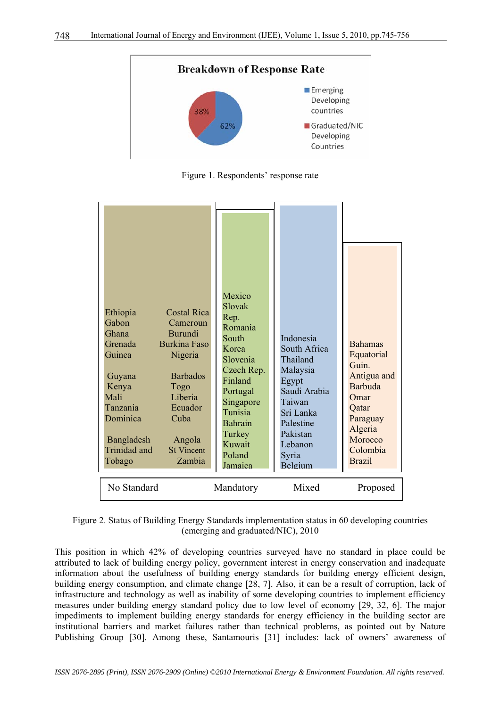

Figure 1. Respondents' response rate

| <b>Costal Rica</b><br>Ethiopia<br>Gabon<br>Cameroun<br><b>Burundi</b><br>Ghana<br><b>Burkina Faso</b><br>Grenada<br>Nigeria<br>Guinea<br><b>Barbados</b><br>Guyana<br>Kenya<br>Togo<br>Liberia<br>Mali<br>Tanzania<br>Ecuador<br>Dominica<br>Cuba<br>Bangladesh<br>Angola<br>Trinidad and<br><b>St Vincent</b><br>Zambia<br>Tobago<br>No Standard | Mexico<br>Slovak<br>Rep.<br>Romania<br>South<br>Korea<br>Slovenia<br>Czech Rep.<br>Finland<br>Portugal<br>Singapore<br>Tunisia<br><b>Bahrain</b><br>Turkey<br>Kuwait<br>Poland<br>Jamaica | Indonesia<br>South Africa<br>Thailand<br>Malaysia<br>Egypt<br>Saudi Arabia<br>Taiwan<br>Sri Lanka<br>Palestine<br>Pakistan<br>Lebanon<br>Syria<br>Belgium<br>Mixed | <b>Bahamas</b><br>Equatorial<br>Guin<br>Antigua and<br><b>Barbuda</b><br>Omar<br>Qatar<br>Paraguay<br>Algeria<br>Morocco<br>Colombia<br><b>Brazil</b> |
|---------------------------------------------------------------------------------------------------------------------------------------------------------------------------------------------------------------------------------------------------------------------------------------------------------------------------------------------------|-------------------------------------------------------------------------------------------------------------------------------------------------------------------------------------------|--------------------------------------------------------------------------------------------------------------------------------------------------------------------|-------------------------------------------------------------------------------------------------------------------------------------------------------|
|                                                                                                                                                                                                                                                                                                                                                   | Mandatory                                                                                                                                                                                 |                                                                                                                                                                    | Proposed                                                                                                                                              |

Figure 2. Status of Building Energy Standards implementation status in 60 developing countries (emerging and graduated/NIC), 2010

This position in which 42% of developing countries surveyed have no standard in place could be attributed to lack of building energy policy, government interest in energy conservation and inadequate information about the usefulness of building energy standards for building energy efficient design, building energy consumption, and climate change [28, 7]. Also, it can be a result of corruption, lack of infrastructure and technology as well as inability of some developing countries to implement efficiency measures under building energy standard policy due to low level of economy [29, 32, 6]. The major impediments to implement building energy standards for energy efficiency in the building sector are institutional barriers and market failures rather than technical problems, as pointed out by Nature Publishing Group [30]. Among these, Santamouris [31] includes: lack of owners' awareness of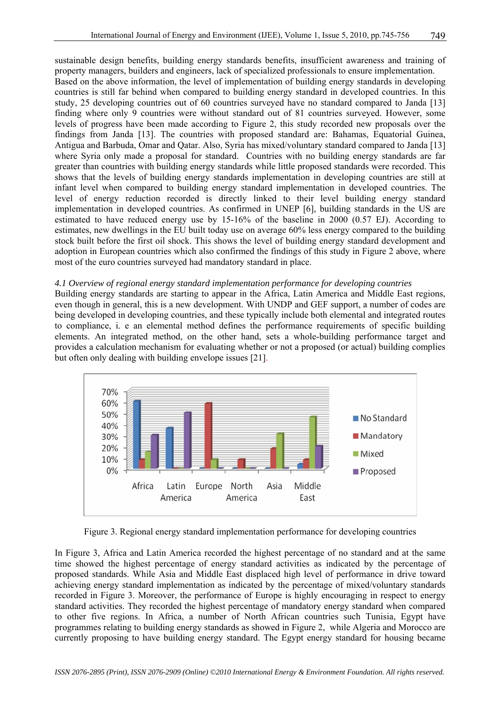sustainable design benefits, building energy standards benefits, insufficient awareness and training of property managers, builders and engineers, lack of specialized professionals to ensure implementation. Based on the above information, the level of implementation of building energy standards in developing countries is still far behind when compared to building energy standard in developed countries. In this study, 25 developing countries out of 60 countries surveyed have no standard compared to Janda [13] finding where only 9 countries were without standard out of 81 countries surveyed. However, some levels of progress have been made according to Figure 2, this study recorded new proposals over the findings from Janda [13]. The countries with proposed standard are: Bahamas, Equatorial Guinea, Antigua and Barbuda, Omar and Qatar. Also, Syria has mixed/voluntary standard compared to Janda [13] where Syria only made a proposal for standard. Countries with no building energy standards are far greater than countries with building energy standards while little proposed standards were recorded. This shows that the levels of building energy standards implementation in developing countries are still at infant level when compared to building energy standard implementation in developed countries. The level of energy reduction recorded is directly linked to their level building energy standard implementation in developed countries. As confirmed in UNEP [6], building standards in the US are estimated to have reduced energy use by 15-16% of the baseline in 2000 (0.57 EJ). According to estimates, new dwellings in the EU built today use on average 60% less energy compared to the building stock built before the first oil shock. This shows the level of building energy standard development and adoption in European countries which also confirmed the findings of this study in Figure 2 above, where most of the euro countries surveyed had mandatory standard in place.

### *4.1 Overview of regional energy standard implementation performance for developing countries*

Building energy standards are starting to appear in the Africa, Latin America and Middle East regions, even though in general, this is a new development. With UNDP and GEF support, a number of codes are being developed in developing countries, and these typically include both elemental and integrated routes to compliance, i. e an elemental method defines the performance requirements of specific building elements. An integrated method, on the other hand, sets a whole-building performance target and provides a calculation mechanism for evaluating whether or not a proposed (or actual) building complies but often only dealing with building envelope issues [21].



Figure 3. Regional energy standard implementation performance for developing countries

In Figure 3, Africa and Latin America recorded the highest percentage of no standard and at the same time showed the highest percentage of energy standard activities as indicated by the percentage of proposed standards. While Asia and Middle East displaced high level of performance in drive toward achieving energy standard implementation as indicated by the percentage of mixed/voluntary standards recorded in Figure 3. Moreover, the performance of Europe is highly encouraging in respect to energy standard activities. They recorded the highest percentage of mandatory energy standard when compared to other five regions. In Africa, a number of North African countries such Tunisia, Egypt have programmes relating to building energy standards as showed in Figure 2, while Algeria and Morocco are currently proposing to have building energy standard. The Egypt energy standard for housing became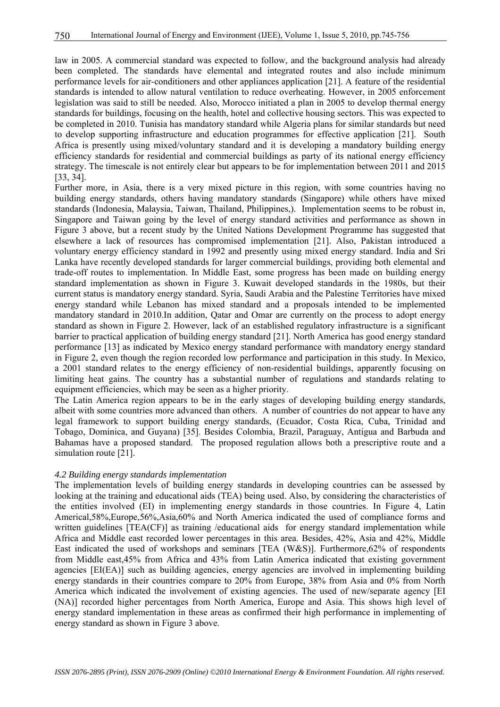law in 2005. A commercial standard was expected to follow, and the background analysis had already been completed. The standards have elemental and integrated routes and also include minimum performance levels for air-conditioners and other appliances application [21]. A feature of the residential standards is intended to allow natural ventilation to reduce overheating. However, in 2005 enforcement legislation was said to still be needed. Also, Morocco initiated a plan in 2005 to develop thermal energy standards for buildings, focusing on the health, hotel and collective housing sectors. This was expected to be completed in 2010. Tunisia has mandatory standard while Algeria plans for similar standards but need to develop supporting infrastructure and education programmes for effective application [21]. South Africa is presently using mixed/voluntary standard and it is developing a mandatory building energy efficiency standards for residential and commercial buildings as party of its national energy efficiency strategy. The timescale is not entirely clear but appears to be for implementation between 2011 and 2015 [33, 34].

Further more, in Asia, there is a very mixed picture in this region, with some countries having no building energy standards, others having mandatory standards (Singapore) while others have mixed standards (Indonesia, Malaysia, Taiwan, Thailand, Philippines,). Implementation seems to be robust in, Singapore and Taiwan going by the level of energy standard activities and performance as shown in Figure 3 above, but a recent study by the United Nations Development Programme has suggested that elsewhere a lack of resources has compromised implementation [21]. Also, Pakistan introduced a voluntary energy efficiency standard in 1992 and presently using mixed energy standard. India and Sri Lanka have recently developed standards for larger commercial buildings, providing both elemental and trade-off routes to implementation. In Middle East, some progress has been made on building energy standard implementation as shown in Figure 3. Kuwait developed standards in the 1980s, but their current status is mandatory energy standard. Syria, Saudi Arabia and the Palestine Territories have mixed energy standard while Lebanon has mixed standard and a proposals intended to be implemented mandatory standard in 2010.In addition, Qatar and Omar are currently on the process to adopt energy standard as shown in Figure 2. However, lack of an established regulatory infrastructure is a significant barrier to practical application of building energy standard [21]. North America has good energy standard performance [13] as indicated by Mexico energy standard performance with mandatory energy standard in Figure 2, even though the region recorded low performance and participation in this study. In Mexico, a 2001 standard relates to the energy efficiency of non-residential buildings, apparently focusing on limiting heat gains. The country has a substantial number of regulations and standards relating to equipment efficiencies, which may be seen as a higher priority.

The Latin America region appears to be in the early stages of developing building energy standards, albeit with some countries more advanced than others. A number of countries do not appear to have any legal framework to support building energy standards, (Ecuador, Costa Rica, Cuba, Trinidad and Tobago, Dominica, and Guyana) [35]. Besides Colombia, Brazil, Paraguay, Antigua and Barbuda and Bahamas have a proposed standard. The proposed regulation allows both a prescriptive route and a simulation route [21].

#### *4.2 Building energy standards implementation*

The implementation levels of building energy standards in developing countries can be assessed by looking at the training and educational aids (TEA) being used. Also, by considering the characteristics of the entities involved (EI) in implementing energy standards in those countries. In Figure 4, Latin Americal,58%,Europe,56%,Asia,60% and North America indicated the used of compliance forms and written guidelines [TEA(CF)] as training /educational aids for energy standard implementation while Africa and Middle east recorded lower percentages in this area. Besides, 42%, Asia and 42%, Middle East indicated the used of workshops and seminars [TEA (W&S)]. Furthermore,62% of respondents from Middle east,45% from Africa and 43% from Latin America indicated that existing government agencies [EI(EA)] such as building agencies, energy agencies are involved in implementing building energy standards in their countries compare to 20% from Europe, 38% from Asia and 0% from North America which indicated the involvement of existing agencies. The used of new/separate agency [EI (NA)] recorded higher percentages from North America, Europe and Asia. This shows high level of energy standard implementation in these areas as confirmed their high performance in implementing of energy standard as shown in Figure 3 above.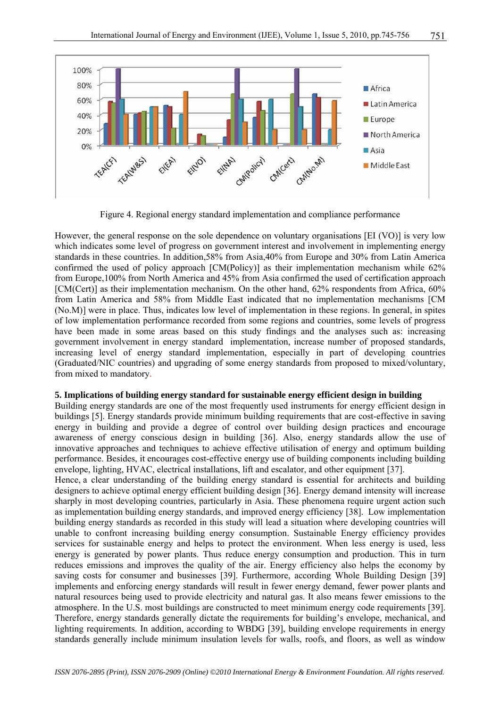

Figure 4. Regional energy standard implementation and compliance performance

However, the general response on the sole dependence on voluntary organisations [EI (VO)] is very low which indicates some level of progress on government interest and involvement in implementing energy standards in these countries. In addition,58% from Asia,40% from Europe and 30% from Latin America confirmed the used of policy approach [CM(Policy)] as their implementation mechanism while 62% from Europe,100% from North America and 45% from Asia confirmed the used of certification approach [CM(Cert)] as their implementation mechanism. On the other hand, 62% respondents from Africa, 60% from Latin America and 58% from Middle East indicated that no implementation mechanisms [CM (No.M)] were in place. Thus, indicates low level of implementation in these regions. In general, in spites of low implementation performance recorded from some regions and countries, some levels of progress have been made in some areas based on this study findings and the analyses such as: increasing government involvement in energy standard implementation, increase number of proposed standards, increasing level of energy standard implementation, especially in part of developing countries (Graduated/NIC countries) and upgrading of some energy standards from proposed to mixed/voluntary, from mixed to mandatory.

#### **5. Implications of building energy standard for sustainable energy efficient design in building**

Building energy standards are one of the most frequently used instruments for energy efficient design in buildings [5]. Energy standards provide minimum building requirements that are cost-effective in saving energy in building and provide a degree of control over building design practices and encourage awareness of energy conscious design in building [36]. Also, energy standards allow the use of innovative approaches and techniques to achieve effective utilisation of energy and optimum building performance. Besides, it encourages cost-effective energy use of building components including building envelope, lighting, HVAC, electrical installations, lift and escalator, and other equipment [37].

Hence, a clear understanding of the building energy standard is essential for architects and building designers to achieve optimal energy efficient building design [36]. Energy demand intensity will increase sharply in most developing countries, particularly in Asia. These phenomena require urgent action such as implementation building energy standards, and improved energy efficiency [38]. Low implementation building energy standards as recorded in this study will lead a situation where developing countries will unable to confront increasing building energy consumption. Sustainable Energy efficiency provides services for sustainable energy and helps to protect the environment. When less energy is used, less energy is generated by power plants. Thus reduce energy consumption and production. This in turn reduces emissions and improves the quality of the air. Energy efficiency also helps the economy by saving costs for consumer and businesses [39]. Furthermore, according Whole Building Design [39] implements and enforcing energy standards will result in fewer energy demand, fewer power plants and natural resources being used to provide electricity and natural gas. It also means fewer emissions to the atmosphere. In the U.S. most buildings are constructed to meet minimum energy code requirements [39]. Therefore, energy standards generally dictate the requirements for building's envelope, mechanical, and lighting requirements. In addition, according to WBDG [39], building envelope requirements in energy standards generally include minimum insulation levels for walls, roofs, and floors, as well as window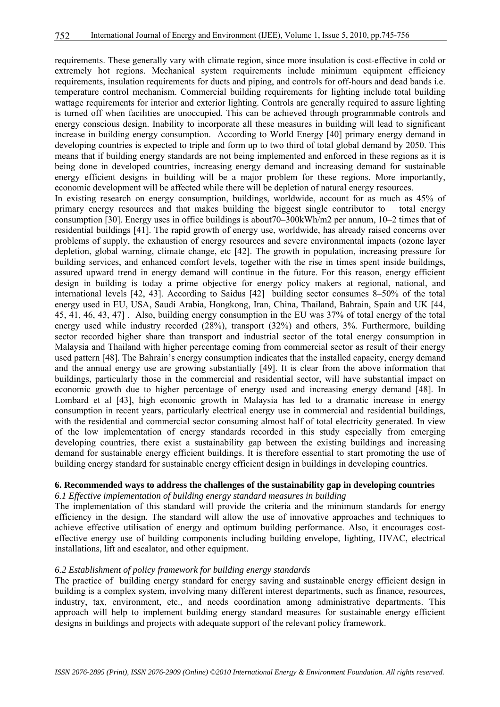requirements. These generally vary with climate region, since more insulation is cost-effective in cold or extremely hot regions. Mechanical system requirements include minimum equipment efficiency requirements, insulation requirements for ducts and piping, and controls for off-hours and dead bands i.e. temperature control mechanism. Commercial building requirements for lighting include total building wattage requirements for interior and exterior lighting. Controls are generally required to assure lighting is turned off when facilities are unoccupied. This can be achieved through programmable controls and energy conscious design. Inability to incorporate all these measures in building will lead to significant increase in building energy consumption. According to World Energy [40] primary energy demand in developing countries is expected to triple and form up to two third of total global demand by 2050. This means that if building energy standards are not being implemented and enforced in these regions as it is being done in developed countries, increasing energy demand and increasing demand for sustainable energy efficient designs in building will be a major problem for these regions. More importantly, economic development will be affected while there will be depletion of natural energy resources. In existing research on energy consumption, buildings, worldwide, account for as much as 45% of primary energy resources and that makes building the biggest single contributor to total energy consumption [30]. Energy uses in office buildings is about70–300kWh/m2 per annum, 10–2 times that of residential buildings [41]. The rapid growth of energy use, worldwide, has already raised concerns over problems of supply, the exhaustion of energy resources and severe environmental impacts (ozone layer depletion, global warning, climate change, etc [42]. The growth in population, increasing pressure for building services, and enhanced comfort levels, together with the rise in times spent inside buildings, assured upward trend in energy demand will continue in the future. For this reason, energy efficient design in building is today a prime objective for energy policy makers at regional, national, and international levels [42, 43]. According to Saidus [42] building sector consumes 8–50% of the total energy used in EU, USA, Saudi Arabia, Hongkong, Iran, China, Thailand, Bahrain, Spain and UK [44, 45, 41, 46, 43, 47] . Also, building energy consumption in the EU was 37% of total energy of the total energy used while industry recorded (28%), transport (32%) and others, 3%. Furthermore, building sector recorded higher share than transport and industrial sector of the total energy consumption in Malaysia and Thailand with higher percentage coming from commercial sector as result of their energy used pattern [48]. The Bahrain's energy consumption indicates that the installed capacity, energy demand and the annual energy use are growing substantially [49]. It is clear from the above information that buildings, particularly those in the commercial and residential sector, will have substantial impact on economic growth due to higher percentage of energy used and increasing energy demand [48]. In Lombard et al [43], high economic growth in Malaysia has led to a dramatic increase in energy consumption in recent years, particularly electrical energy use in commercial and residential buildings, with the residential and commercial sector consuming almost half of total electricity generated. In view of the low implementation of energy standards recorded in this study especially from emerging developing countries, there exist a sustainability gap between the existing buildings and increasing demand for sustainable energy efficient buildings. It is therefore essential to start promoting the use of building energy standard for sustainable energy efficient design in buildings in developing countries.

## **6. Recommended ways to address the challenges of the sustainability gap in developing countries**

*6.1 Effective implementation of building energy standard measures in building* 

The implementation of this standard will provide the criteria and the minimum standards for energy efficiency in the design. The standard will allow the use of innovative approaches and techniques to achieve effective utilisation of energy and optimum building performance. Also, it encourages costeffective energy use of building components including building envelope, lighting, HVAC, electrical installations, lift and escalator, and other equipment.

#### *6.2 Establishment of policy framework for building energy standards*

The practice of building energy standard for energy saving and sustainable energy efficient design in building is a complex system, involving many different interest departments, such as finance, resources, industry, tax, environment, etc., and needs coordination among administrative departments. This approach will help to implement building energy standard measures for sustainable energy efficient designs in buildings and projects with adequate support of the relevant policy framework.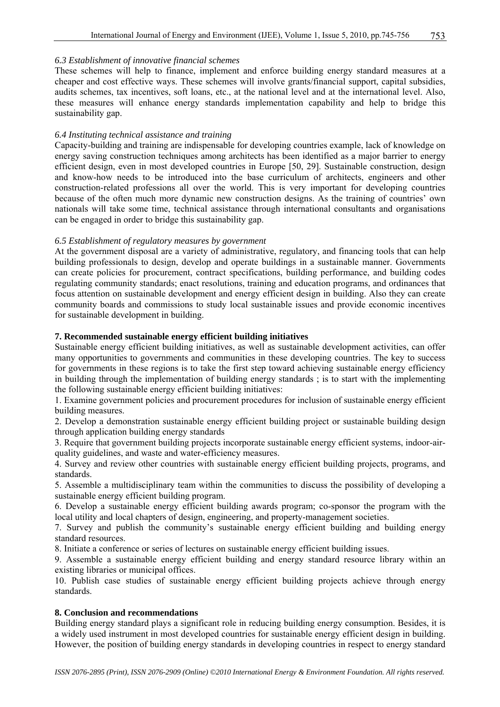#### *6.3 Establishment of innovative financial schemes*

These schemes will help to finance, implement and enforce building energy standard measures at a cheaper and cost effective ways. These schemes will involve grants/financial support, capital subsidies, audits schemes, tax incentives, soft loans, etc., at the national level and at the international level. Also, these measures will enhance energy standards implementation capability and help to bridge this sustainability gap.

#### *6.4 Instituting technical assistance and training*

Capacity-building and training are indispensable for developing countries example, lack of knowledge on energy saving construction techniques among architects has been identified as a major barrier to energy efficient design, even in most developed countries in Europe [50, 29]. Sustainable construction, design and know-how needs to be introduced into the base curriculum of architects, engineers and other construction-related professions all over the world. This is very important for developing countries because of the often much more dynamic new construction designs. As the training of countries' own nationals will take some time, technical assistance through international consultants and organisations can be engaged in order to bridge this sustainability gap.

#### *6.5 Establishment of regulatory measures by government*

At the government disposal are a variety of administrative, regulatory, and financing tools that can help building professionals to design, develop and operate buildings in a sustainable manner. Governments can create policies for procurement, contract specifications, building performance, and building codes regulating community standards; enact resolutions, training and education programs, and ordinances that focus attention on sustainable development and energy efficient design in building. Also they can create community boards and commissions to study local sustainable issues and provide economic incentives for sustainable development in building.

#### **7. Recommended sustainable energy efficient building initiatives**

Sustainable energy efficient building initiatives, as well as sustainable development activities, can offer many opportunities to governments and communities in these developing countries. The key to success for governments in these regions is to take the first step toward achieving sustainable energy efficiency in building through the implementation of building energy standards ; is to start with the implementing the following sustainable energy efficient building initiatives:

1. Examine government policies and procurement procedures for inclusion of sustainable energy efficient building measures.

2. Develop a demonstration sustainable energy efficient building project or sustainable building design through application building energy standards

3. Require that government building projects incorporate sustainable energy efficient systems, indoor-airquality guidelines, and waste and water-efficiency measures.

4. Survey and review other countries with sustainable energy efficient building projects, programs, and standards.

5. Assemble a multidisciplinary team within the communities to discuss the possibility of developing a sustainable energy efficient building program.

6. Develop a sustainable energy efficient building awards program; co-sponsor the program with the local utility and local chapters of design, engineering, and property-management societies.

7. Survey and publish the community's sustainable energy efficient building and building energy standard resources.

8. Initiate a conference or series of lectures on sustainable energy efficient building issues.

9. Assemble a sustainable energy efficient building and energy standard resource library within an existing libraries or municipal offices.

10. Publish case studies of sustainable energy efficient building projects achieve through energy standards.

#### **8. Conclusion and recommendations**

Building energy standard plays a significant role in reducing building energy consumption. Besides, it is a widely used instrument in most developed countries for sustainable energy efficient design in building. However, the position of building energy standards in developing countries in respect to energy standard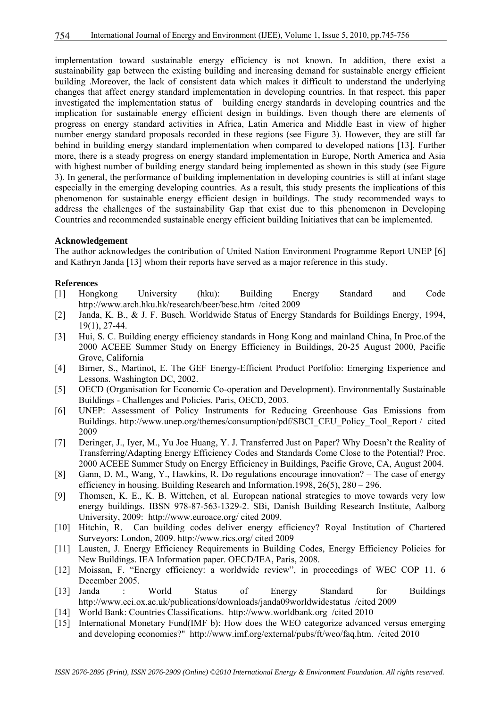implementation toward sustainable energy efficiency is not known. In addition, there exist a sustainability gap between the existing building and increasing demand for sustainable energy efficient building .Moreover, the lack of consistent data which makes it difficult to understand the underlying changes that affect energy standard implementation in developing countries. In that respect, this paper investigated the implementation status of building energy standards in developing countries and the implication for sustainable energy efficient design in buildings. Even though there are elements of progress on energy standard activities in Africa, Latin America and Middle East in view of higher number energy standard proposals recorded in these regions (see Figure 3). However, they are still far behind in building energy standard implementation when compared to developed nations [13]. Further more, there is a steady progress on energy standard implementation in Europe, North America and Asia with highest number of building energy standard being implemented as shown in this study (see Figure 3). In general, the performance of building implementation in developing countries is still at infant stage especially in the emerging developing countries. As a result, this study presents the implications of this phenomenon for sustainable energy efficient design in buildings. The study recommended ways to address the challenges of the sustainability Gap that exist due to this phenomenon in Developing Countries and recommended sustainable energy efficient building Initiatives that can be implemented.

#### **Acknowledgement**

The author acknowledges the contribution of United Nation Environment Programme Report UNEP [6] and Kathryn Janda [13] whom their reports have served as a major reference in this study.

#### **References**

- [1] Hongkong University (hku): Building Energy Standard and Code http://www.arch.hku.hk/research/beer/besc.htm /cited 2009
- [2] Janda, K. B., & J. F. Busch. Worldwide Status of Energy Standards for Buildings Energy, 1994, 19(1), 27-44.
- [3] Hui, S. C. Building energy efficiency standards in Hong Kong and mainland China, In Proc.of the 2000 ACEEE Summer Study on Energy Efficiency in Buildings, 20-25 August 2000, Pacific Grove, California
- [4] Birner, S., Martinot, E. The GEF Energy-Efficient Product Portfolio: Emerging Experience and Lessons. Washington DC, 2002.
- [5] OECD (Organisation for Economic Co-operation and Development). Environmentally Sustainable Buildings - Challenges and Policies. Paris, OECD, 2003.
- [6] UNEP: Assessment of Policy Instruments for Reducing Greenhouse Gas Emissions from Buildings. http://www.unep.org/themes/consumption/pdf/SBCI\_CEU\_Policy\_Tool\_Report / cited 2009
- [7] Deringer, J., Iyer, M., Yu Joe Huang, Y. J. Transferred Just on Paper? Why Doesn't the Reality of Transferring/Adapting Energy Efficiency Codes and Standards Come Close to the Potential? Proc. 2000 ACEEE Summer Study on Energy Efficiency in Buildings, Pacific Grove, CA, August 2004.
- [8] Gann, D. M., Wang, Y., Hawkins, R. Do regulations encourage innovation? The case of energy efficiency in housing. Building Research and Information.1998, 26(5), 280 – 296.
- [9] Thomsen, K. E., K. B. Wittchen, et al. European national strategies to move towards very low energy buildings. IBSN 978-87-563-1329-2. SBi, Danish Building Research Institute, Aalborg University, 2009: http://www.euroace.org/ cited 2009.
- [10] Hitchin, R. Can building codes deliver energy efficiency? Royal Institution of Chartered Surveyors: London, 2009. http://www.rics.org/ cited 2009
- [11] Lausten, J. Energy Efficiency Requirements in Building Codes, Energy Efficiency Policies for New Buildings. IEA Information paper. OECD/IEA, Paris, 2008.
- [12] Moissan, F. "Energy efficiency: a worldwide review", in proceedings of WEC COP 11. 6 December 2005.
- [13] Janda : World Status of Energy Standard for Buildings http://www.eci.ox.ac.uk/publications/downloads/janda09worldwidestatus /cited 2009
- [14] World Bank: Countries Classifications. http://www.worldbank.org /cited 2010
- [15] International Monetary Fund(IMF b): How does the WEO categorize advanced versus emerging and developing economies?" http://www.imf.org/external/pubs/ft/weo/faq.htm. /cited 2010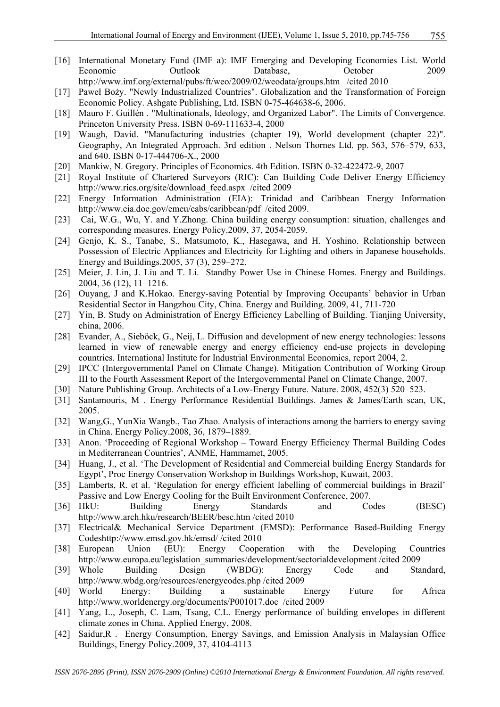- [16] International Monetary Fund (IMF a): IMF Emerging and Developing Economies List. World Economic Outlook Database, October 2009 http://www.imf.org/external/pubs/ft/weo/2009/02/weodata/groups.htm /cited 2010
- [17] Paweł Boży. "Newly Industrialized Countries". Globalization and the Transformation of Foreign Economic Policy. Ashgate Publishing, Ltd. ISBN 0-75-464638-6, 2006.
- [18] Mauro F. Guillén . "Multinationals, Ideology, and Organized Labor". The Limits of Convergence. Princeton University Press. ISBN 0-69-111633-4, 2000
- [19] Waugh, David. "Manufacturing industries (chapter 19), World development (chapter 22)". Geography, An Integrated Approach. 3rd edition . Nelson Thornes Ltd. pp. 563, 576–579, 633, and 640. ISBN 0-17-444706-X., 2000
- [20] Mankiw, N. Gregory. Principles of Economics. 4th Edition. ISBN 0-32-422472-9, 2007
- [21] Royal Institute of Chartered Surveyors (RIC): Can Building Code Deliver Energy Efficiency http://www.rics.org/site/download\_feed.aspx /cited 2009
- [22] Energy Information Administration (EIA): Trinidad and Caribbean Energy Information http://www.eia.doe.gov/emeu/cabs/caribbean/pdf /cited 2009.
- [23] Cai, W.G., Wu, Y. and Y.Zhong. China building energy consumption: situation, challenges and corresponding measures. Energy Policy.2009, 37, 2054-2059.
- [24] Genjo, K. S., Tanabe, S., Matsumoto, K., Hasegawa, and H. Yoshino. Relationship between Possession of Electric Appliances and Electricity for Lighting and others in Japanese households. Energy and Buildings.2005, 37 (3), 259–272.
- [25] Meier, J. Lin, J. Liu and T. Li. Standby Power Use in Chinese Homes. Energy and Buildings. 2004, 36 (12), 11–1216.
- [26] Ouyang, J and K.Hokao. Energy-saving Potential by Improving Occupants' behavior in Urban Residential Sector in Hangzhou City, China. Energy and Building. 2009, 41, 711-720
- [27] Yin, B. Study on Administration of Energy Efficiency Labelling of Building. Tianjing University, china, 2006.
- [28] Evander, A., Sieböck, G., Neij, L. Diffusion and development of new energy technologies: lessons learned in view of renewable energy and energy efficiency end-use projects in developing countries. International Institute for Industrial Environmental Economics, report 2004, 2.
- [29] IPCC (Intergovernmental Panel on Climate Change). Mitigation Contribution of Working Group III to the Fourth Assessment Report of the Intergovernmental Panel on Climate Change, 2007.
- [30] Nature Publishing Group. Architects of a Low-Energy Future. Nature. 2008, 452(3) 520–523.
- [31] Santamouris, M . Energy Performance Residential Buildings. James & James/Earth scan, UK, 2005.
- [32] Wang,G., YunXia Wangb., Tao Zhao. Analysis of interactions among the barriers to energy saving in China. Energy Policy.2008, 36, 1879–1889.
- [33] Anon. 'Proceeding of Regional Workshop Toward Energy Efficiency Thermal Building Codes in Mediterranean Countries', ANME, Hammamet, 2005.
- [34] Huang, J., et al. 'The Development of Residential and Commercial building Energy Standards for Egypt', Proc Energy Conservation Workshop in Buildings Workshop, Kuwait, 2003.
- [35] Lamberts, R. et al. 'Regulation for energy efficient labelling of commercial buildings in Brazil' Passive and Low Energy Cooling for the Built Environment Conference, 2007.
- [36] HkU: Building Energy Standards and Codes (BESC) http://www.arch.hku/research/BEER/besc.htm /cited 2010
- [37] Electrical& Mechanical Service Department (EMSD): Performance Based-Building Energy Codeshttp://www.emsd.gov.hk/emsd/ /cited 2010
- [38] European Union (EU): Energy Cooperation with the Developing Countries http://www.europa.eu/legislation\_summaries/development/sectorialdevelopment /cited 2009
- [39] Whole Building Design (WBDG): Energy Code and Standard, http://www.wbdg.org/resources/energycodes.php /cited 2009
- [40] World Energy: Building a sustainable Energy Future for Africa http://www.worldenergy.org/documents/P001017.doc /cited 2009
- [41] Yang, L., Joseph, C. Lam, Tsang, C.L. Energy performance of building envelopes in different climate zones in China. Applied Energy, 2008.
- [42] Saidur,R . Energy Consumption, Energy Savings, and Emission Analysis in Malaysian Office Buildings, Energy Policy.2009, 37, 4104-4113